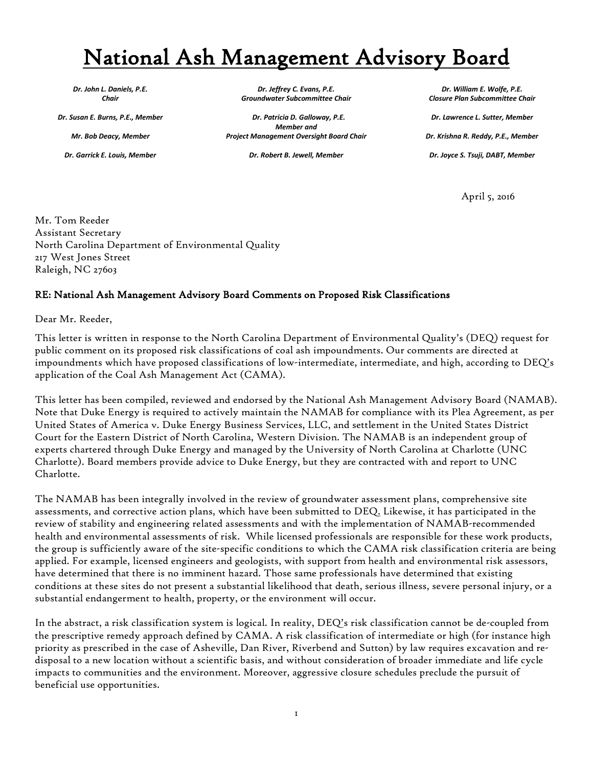## National Ash Management Advisory Board

*Dr. John L. Daniels, P.E. Chair*

*Dr. Susan E. Burns, P.E., Member* 

*Mr. Bob Deacy, Member*

*Dr. Garrick E. Louis, Member* 

*Dr. Jeffrey C. Evans, P.E. Groundwater Subcommittee Chair*

 *Dr. Patricia D. Galloway, P.E. Member and Project Management Oversight Board Chair* 

*Dr. Robert B. Jewell, Member*

*Dr. William E. Wolfe, P.E. Closure Plan Subcommittee Chair* 

*Dr. Lawrence L. Sutter, Member Dr. Krishna R. Reddy, P.E., Member Dr. Joyce S. Tsuji, DABT, Member*

April 5, 2016

Mr. Tom Reeder Assistant Secretary North Carolina Department of Environmental Quality 217 West Jones Street Raleigh, NC 27603

## RE: National Ash Management Advisory Board Comments on Proposed Risk Classifications

Dear Mr. Reeder,

This letter is written in response to the North Carolina Department of Environmental Quality's (DEQ) request for public comment on its proposed risk classifications of coal ash impoundments. Our comments are directed at impoundments which have proposed classifications of low-intermediate, intermediate, and high, according to DEQ's application of the Coal Ash Management Act (CAMA).

This letter has been compiled, reviewed and endorsed by the National Ash Management Advisory Board (NAMAB). Note that Duke Energy is required to actively maintain the NAMAB for compliance with its Plea Agreement, as per United States of America v. Duke Energy Business Services, LLC, and settlement in the United States District Court for the Eastern District of North Carolina, Western Division. The NAMAB is an independent group of experts chartered through Duke Energy and managed by the University of North Carolina at Charlotte (UNC Charlotte). Board members provide advice to Duke Energy, but they are contracted with and report to UNC Charlotte.

The NAMAB has been integrally involved in the review of groundwater assessment plans, comprehensive site assessments, and corrective action plans, which have been submitted to DEQ. Likewise, it has participated in the review of stability and engineering related assessments and with the implementation of NAMAB-recommended health and environmental assessments of risk. While licensed professionals are responsible for these work products, the group is sufficiently aware of the site-specific conditions to which the CAMA risk classification criteria are being applied. For example, licensed engineers and geologists, with support from health and environmental risk assessors, have determined that there is no imminent hazard. Those same professionals have determined that existing conditions at these sites do not present a substantial likelihood that death, serious illness, severe personal injury, or a substantial endangerment to health, property, or the environment will occur.

In the abstract, a risk classification system is logical. In reality, DEQ's risk classification cannot be de-coupled from the prescriptive remedy approach defined by CAMA. A risk classification of intermediate or high (for instance high priority as prescribed in the case of Asheville, Dan River, Riverbend and Sutton) by law requires excavation and redisposal to a new location without a scientific basis, and without consideration of broader immediate and life cycle impacts to communities and the environment. Moreover, aggressive closure schedules preclude the pursuit of beneficial use opportunities.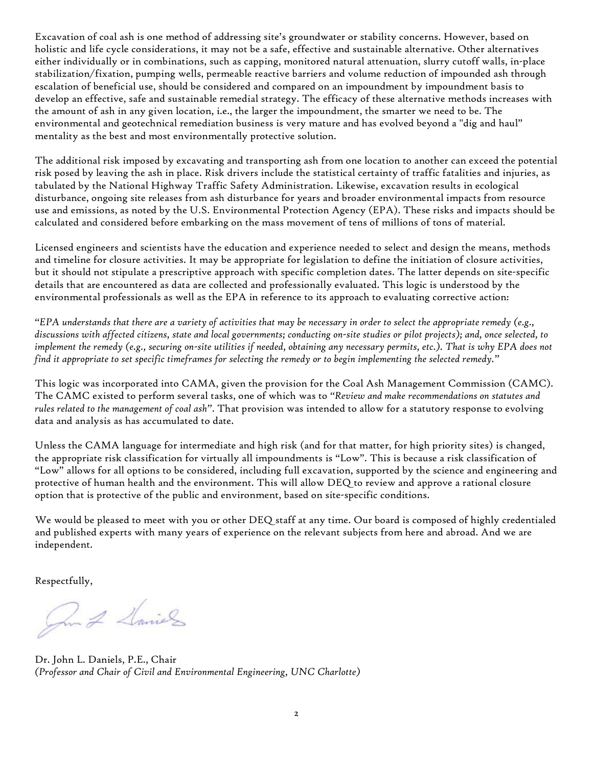Excavation of coal ash is one method of addressing site's groundwater or stability concerns. However, based on holistic and life cycle considerations, it may not be a safe, effective and sustainable alternative. Other alternatives either individually or in combinations, such as capping, monitored natural attenuation, slurry cutoff walls, in-place stabilization/fixation, pumping wells, permeable reactive barriers and volume reduction of impounded ash through escalation of beneficial use, should be considered and compared on an impoundment by impoundment basis to develop an effective, safe and sustainable remedial strategy. The efficacy of these alternative methods increases with the amount of ash in any given location, i.e., the larger the impoundment, the smarter we need to be. The environmental and geotechnical remediation business is very mature and has evolved beyond a "dig and haul" mentality as the best and most environmentally protective solution.

The additional risk imposed by excavating and transporting ash from one location to another can exceed the potential risk posed by leaving the ash in place. Risk drivers include the statistical certainty of traffic fatalities and injuries, as tabulated by the National Highway Traffic Safety Administration. Likewise, excavation results in ecological disturbance, ongoing site releases from ash disturbance for years and broader environmental impacts from resource use and emissions, as noted by the U.S. Environmental Protection Agency (EPA). These risks and impacts should be calculated and considered before embarking on the mass movement of tens of millions of tons of material.

Licensed engineers and scientists have the education and experience needed to select and design the means, methods and timeline for closure activities. It may be appropriate for legislation to define the initiation of closure activities, but it should not stipulate a prescriptive approach with specific completion dates. The latter depends on site-specific details that are encountered as data are collected and professionally evaluated. This logic is understood by the environmental professionals as well as the EPA in reference to its approach to evaluating corrective action:

*"EPA understands that there are a variety of activities that may be necessary in order to select the appropriate remedy (e.g., discussions with affected citizens, state and local governments; conducting on-site studies or pilot projects); and, once selected, to implement the remedy (e.g., securing on-site utilities if needed, obtaining any necessary permits, etc.). That is why EPA does not find it appropriate to set specific timeframes for selecting the remedy or to begin implementing the selected remedy."*

This logic was incorporated into CAMA, given the provision for the Coal Ash Management Commission (CAMC). The CAMC existed to perform several tasks, one of which was to *"Review and make recommendations on statutes and rules related to the management of coal ash"*. That provision was intended to allow for a statutory response to evolving data and analysis as has accumulated to date.

Unless the CAMA language for intermediate and high risk (and for that matter, for high priority sites) is changed, the appropriate risk classification for virtually all impoundments is "Low". This is because a risk classification of "Low" allows for all options to be considered, including full excavation, supported by the science and engineering and protective of human health and the environment. This will allow DEQ to review and approve a rational closure option that is protective of the public and environment, based on site-specific conditions.

We would be pleased to meet with you or other DEQ staff at any time. Our board is composed of highly credentialed and published experts with many years of experience on the relevant subjects from here and abroad. And we are independent.

Respectfully,

Om 2 Saintes

Dr. John L. Daniels, P.E., Chair *(Professor and Chair of Civil and Environmental Engineering, UNC Charlotte)*